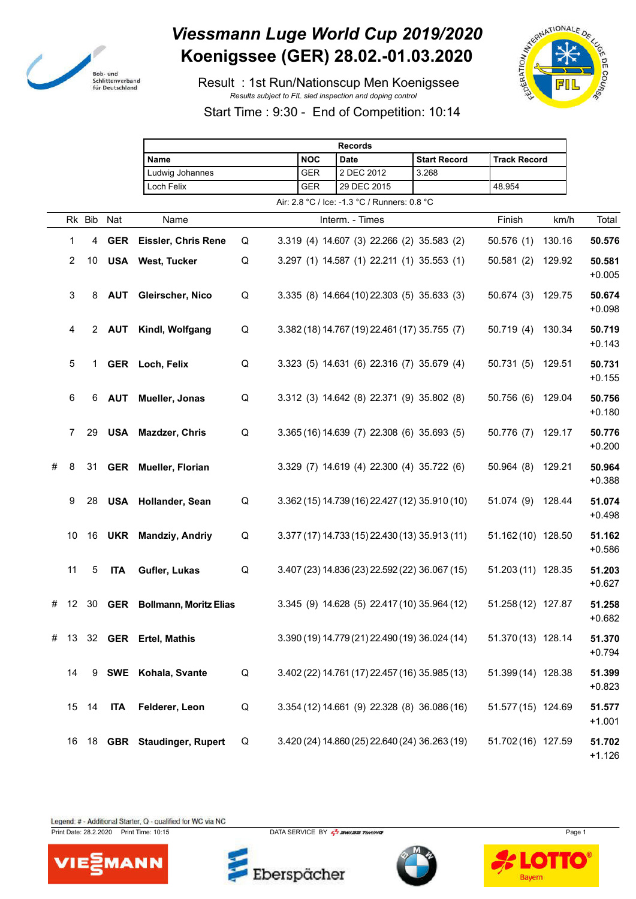

## *Viessmann Luge World Cup 2019/2020* **Koenigssee (GER) 28.02.-01.03.2020**

 Result : 1st Run/Nationscup Men Koenigssee *Results subject to FIL sled inspection and doping control*





Start Time : 9:30 - End of Competition: 10:14

|   |                |            |            | <b>Records</b>                    |   |  |            |                                                |                     |                     |        |                    |
|---|----------------|------------|------------|-----------------------------------|---|--|------------|------------------------------------------------|---------------------|---------------------|--------|--------------------|
|   |                |            |            | Name                              |   |  | <b>NOC</b> | <b>Date</b>                                    | <b>Start Record</b> | <b>Track Record</b> |        |                    |
|   |                |            |            | Ludwig Johannes                   |   |  | <b>GER</b> | 2 DEC 2012                                     | 3.268               |                     |        |                    |
|   |                |            |            | Loch Felix                        |   |  | <b>GER</b> | 29 DEC 2015                                    |                     | 48.954              |        |                    |
|   |                |            |            |                                   |   |  |            | Air: 2.8 °C / Ice: -1.3 °C / Runners: 0.8 °C   |                     |                     |        |                    |
|   |                | Rk Bib Nat |            | Name                              |   |  |            | Interm. - Times                                |                     | Finish              | km/h   | Total              |
|   | 1              |            |            | 4 GER Eissler, Chris Rene         | Q |  |            | 3.319 (4) 14.607 (3) 22.266 (2) 35.583 (2)     |                     | 50.576(1)           | 130.16 | 50.576             |
|   | $\overline{2}$ |            |            | 10 USA West, Tucker               | Q |  |            | 3.297 (1) 14.587 (1) 22.211 (1) 35.553 (1)     |                     | 50.581(2)           | 129.92 | 50.581<br>$+0.005$ |
|   | 3              | 8          |            | <b>AUT</b> Gleirscher, Nico       | Q |  |            | 3.335 (8) 14.664 (10) 22.303 (5) 35.633 (3)    |                     | 50.674 (3) 129.75   |        | 50.674<br>$+0.098$ |
|   | $\overline{4}$ |            |            | 2 AUT Kindl, Wolfgang             | Q |  |            | 3.382 (18) 14.767 (19) 22.461 (17) 35.755 (7)  |                     | 50.719 (4) 130.34   |        | 50.719<br>$+0.143$ |
|   | 5              | 1          |            | GER Loch, Felix                   | Q |  |            | 3.323 (5) 14.631 (6) 22.316 (7) 35.679 (4)     |                     | 50.731 (5) 129.51   |        | 50.731<br>$+0.155$ |
|   | 6              | 6          | <b>AUT</b> | Mueller, Jonas                    | Q |  |            | 3.312 (3) 14.642 (8) 22.371 (9) 35.802 (8)     |                     | 50.756 (6) 129.04   |        | 50.756<br>$+0.180$ |
|   | $\mathbf{7}$   |            |            | 29 USA Mazdzer, Chris             | Q |  |            | 3.365 (16) 14.639 (7) 22.308 (6) 35.693 (5)    |                     | 50.776 (7)          | 129.17 | 50.776<br>$+0.200$ |
| # | 8              |            |            | 31 GER Mueller, Florian           |   |  |            | 3.329 (7) 14.619 (4) 22.300 (4) 35.722 (6)     |                     | 50.964 (8) 129.21   |        | 50.964<br>$+0.388$ |
|   | 9              | 28         |            | <b>USA</b> Hollander, Sean        | Q |  |            | 3.362 (15) 14.739 (16) 22.427 (12) 35.910 (10) |                     | 51.074 (9) 128.44   |        | 51.074<br>$+0.498$ |
|   | 10             |            |            | 16 UKR Mandziy, Andriy            | Q |  |            | 3.377 (17) 14.733 (15) 22.430 (13) 35.913 (11) |                     | 51.162 (10) 128.50  |        | 51.162<br>$+0.586$ |
|   | 11             | 5          | <b>ITA</b> | Gufler, Lukas                     | Q |  |            | 3.407 (23) 14.836 (23) 22.592 (22) 36.067 (15) |                     | 51.203 (11) 128.35  |        | 51.203<br>$+0.627$ |
|   | # 12           | 30         |            | <b>GER</b> Bollmann, Moritz Elias |   |  |            | 3.345 (9) 14.628 (5) 22.417 (10) 35.964 (12)   |                     | 51.258 (12) 127.87  |        | 51.258<br>$+0.682$ |
|   |                |            |            | # 13 32 GER Ertel, Mathis         |   |  |            | 3.390 (19) 14.779 (21) 22.490 (19) 36.024 (14) |                     | 51.370 (13) 128.14  |        | 51.370<br>$+0.794$ |
|   | 14             | 9          |            | <b>SWE</b> Kohala, Svante         | Q |  |            | 3.402 (22) 14.761 (17) 22.457 (16) 35.985 (13) |                     | 51.399 (14) 128.38  |        | 51.399<br>$+0.823$ |
|   | 15             | 14         | ITA        | Felderer, Leon                    | Q |  |            | 3.354 (12) 14.661 (9) 22.328 (8) 36.086 (16)   |                     | 51.577 (15) 124.69  |        | 51.577<br>$+1.001$ |
|   | 16             |            |            | 18 GBR Staudinger, Rupert         | Q |  |            | 3.420 (24) 14.860 (25) 22.640 (24) 36.263 (19) |                     | 51.702 (16) 127.59  |        | 51.702<br>$+1.126$ |

Legend: # - Additional Starter, Q - qualified for WC via NC

Print Date: 28.2.2020 Print Time: 10:15 DATA SERVICE BY  $\frac{1}{2}$  SWISS TIMING



Eberspächer